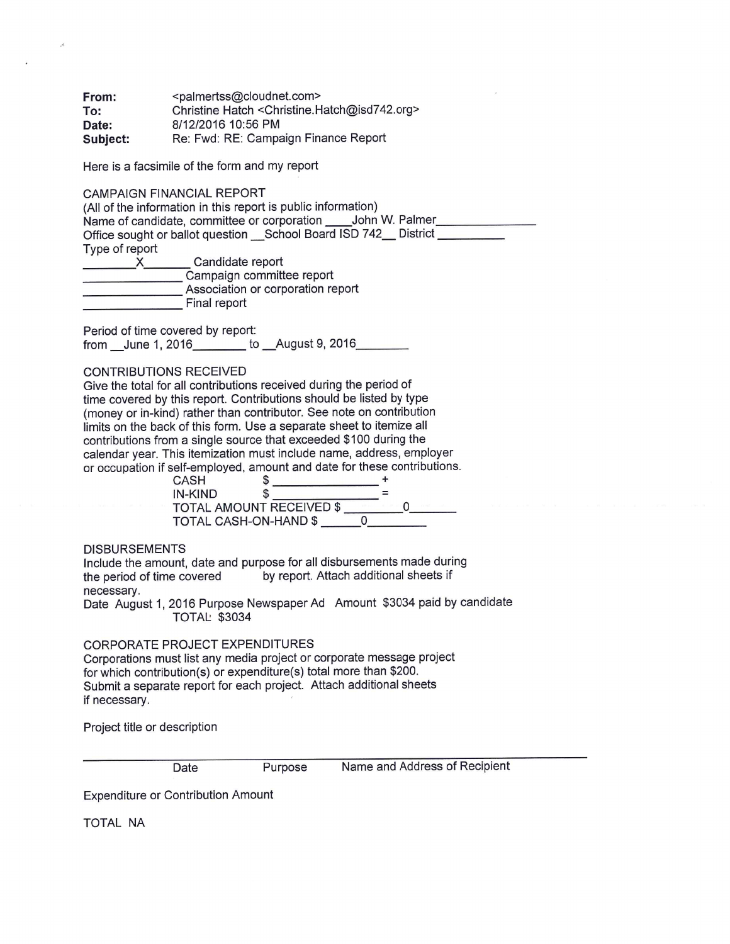**From:**  $\leq$   $\leq$   $\leq$   $\leq$   $\leq$   $\leq$   $\leq$   $\leq$   $\leq$   $\leq$   $\leq$   $\leq$   $\leq$   $\leq$   $\leq$   $\leq$   $\leq$   $\leq$   $\leq$   $\leq$   $\leq$   $\leq$   $\leq$   $\leq$   $\leq$   $\leq$   $\leq$   $\leq$   $\leq$   $\leq$   $\leq$   $\leq$   $\leq$   $\leq$   $\leq$   $\leq$ **To:** Christine Hatch <[Christine.Hatch@isd742.org](mailto:Christine.Hatch@isd742.org)> **Date:** 8/12/2016 10:56 PM Subject: Re: Fwd: RE: Campaign Finance Report

Here is a facsimile of the form and my report

CAMPAIGN FINANCIAL REPORT

(All of the information in this report is public information) Name of candidate, committee or corporation \_\_\_\_\_ John W. Palmer\_\_\_\_ Office sought or ballot question \_\_ School Board ISD 742\_\_ District \_\_\_\_\_\_\_\_\_ Type of report Condidate report

| Candidate report                  |
|-----------------------------------|
| Campaign committee report         |
| Association or corporation report |
| Final report                      |

Period of time covered by report: from June 1, 2016 to \_\_August 9, 2016\_\_\_\_\_\_\_\_

## **CONTRIBUTIONS RECEIVED**

Give the total for all contributions received during the period of time covered by this report. Contributions should be listed by type (money or in-kind) rather than contributor. See note on contribution limits on the back of this form. Use a separate sheet to itemize all contributions from a single source that exceeded \$100 during the calendar year. This itemization must include name, address, employer or occupation if self-employed, amount and date for these contributions.

| CASH                     |  |  |
|--------------------------|--|--|
| <b>IN-KIND</b>           |  |  |
| TOTAL AMOUNT RECEIVED \$ |  |  |
| TOTAL CASH-ON-HAND \$    |  |  |

**DISBURSEMENTS** 

Include the amount, date and purpose for all disbursements made during the period of time covered by report. Attach additional sheets if necessary.

Date August 1, 2016 Purpose Newspaper Ad Amount \$3034 paid by candidate **TOTAL: \$3034** 

CORPORATE PROJECT EXPENDITURES

Corporations must list any media project or corporate message project for which contribution(s) or expenditure(s) total more than \$200. Submit a separate report for each project. Attach additional sheets if necessary.

Project title or description

Date Purpose Name and Address of Recipient

Expenditure or Contribution Amount

TOTAL NA